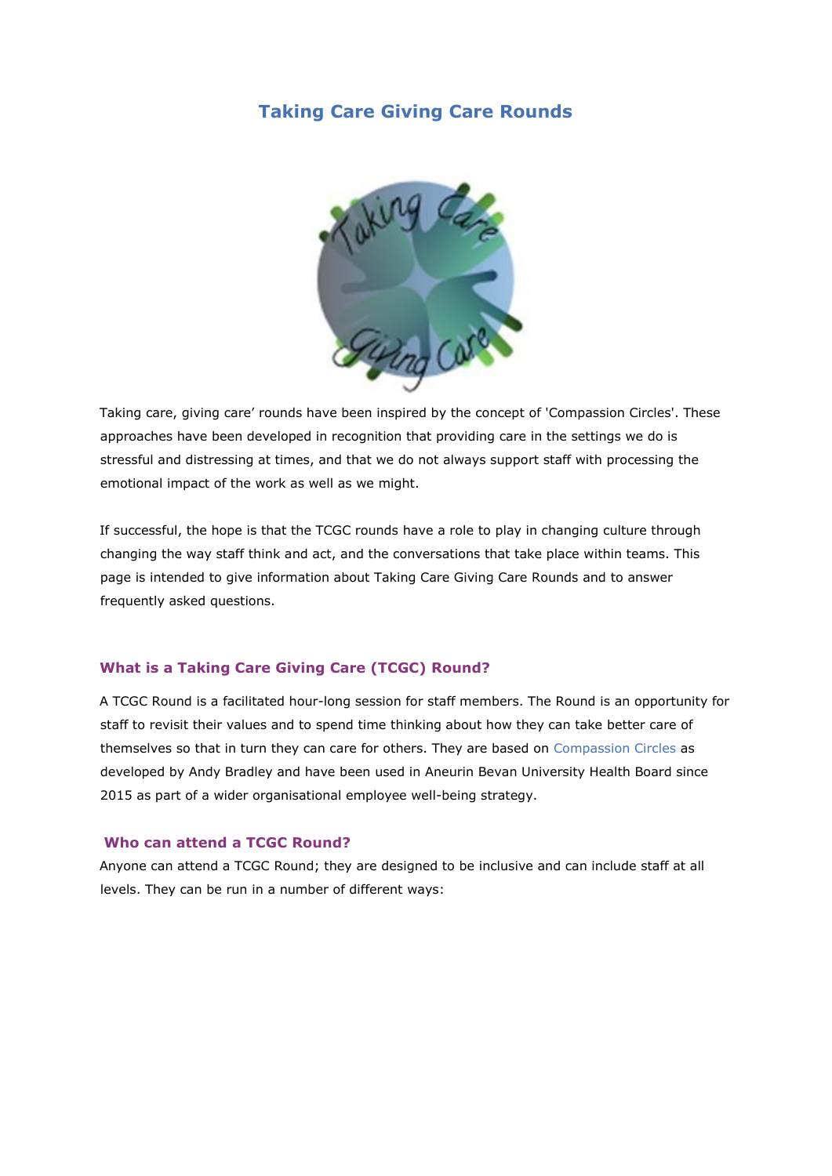# **Taking Care Giving Care Rounds**



Taking care, giving care' rounds have been inspired by the concept of 'Compassion Circles'. These approaches have been developed in recognition that providing care in the settings we do is stressful and distressing at times, and that we do not always support staff with processing the emotional impact of the work as well as we might.

If successful, the hope is that the TCGC rounds have a role to play in changing culture through changing the way staff think and act, and the conversations that take place within teams. This page is intended to give information about Taking Care Giving Care Rounds and to answer frequently asked questions.

# **What is a Taking Care Giving Care (TCGC) Round?**

A TCGC Round is a facilitated hour-long session for staff members. The Round is an opportunity for staff to revisit their values and to spend time thinking about how they can take better care of themselves so that in turn they can care for others. They are based on Compassion Circles as developed by Andy Bradley and have been used in Aneurin Bevan University Health Board since 2015 as part of a wider organisational employee well-being strategy.

#### **Who can attend a TCGC Round?**

Anyone can attend a TCGC Round; they are designed to be inclusive and can include staff at all levels. They can be run in a number of different ways: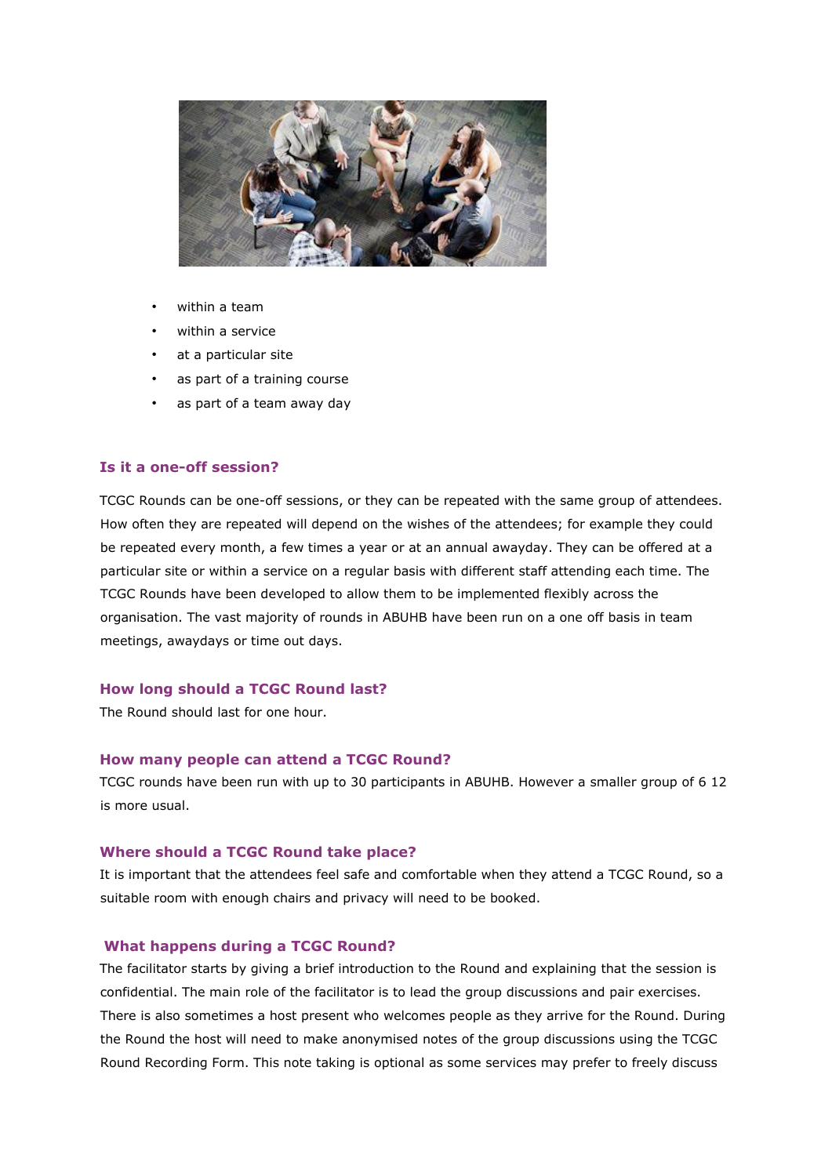

- within a team
- within a service
- at a particular site
- as part of a training course
- as part of a team away day

# **Is it a one-off session?**

TCGC Rounds can be one-off sessions, or they can be repeated with the same group of attendees. How often they are repeated will depend on the wishes of the attendees; for example they could be repeated every month, a few times a year or at an annual awayday. They can be offered at a particular site or within a service on a regular basis with different staff attending each time. The TCGC Rounds have been developed to allow them to be implemented flexibly across the organisation. The vast majority of rounds in ABUHB have been run on a one off basis in team meetings, awaydays or time out days.

#### **How long should a TCGC Round last?**

The Round should last for one hour.

#### **How many people can attend a TCGC Round?**

TCGC rounds have been run with up to 30 participants in ABUHB. However a smaller group of 6 12 is more usual.

# **Where should a TCGC Round take place?**

It is important that the attendees feel safe and comfortable when they attend a TCGC Round, so a suitable room with enough chairs and privacy will need to be booked.

# **What happens during a TCGC Round?**

The facilitator starts by giving a brief introduction to the Round and explaining that the session is confidential. The main role of the facilitator is to lead the group discussions and pair exercises. There is also sometimes a host present who welcomes people as they arrive for the Round. During the Round the host will need to make anonymised notes of the group discussions using the TCGC Round Recording Form. This note taking is optional as some services may prefer to freely discuss